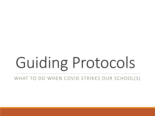# Guiding Protocols

WHAT TO DO WHEN COVID STRIKES OUR SCHOOL(S)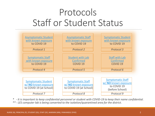# Protocols Staff or Student Status



*\* - It is important to keep confidential personnel or student with COVID-19 to keep their name confidential. \*\* - LES computer lab is being converted to the isolation/quarantined area for the district.*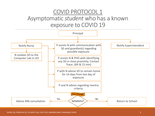## <span id="page-2-0"></span>COVID PROTOCOL 1 Asymptomatic *student* who has a known exposure to COVID 19

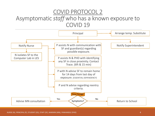#### <span id="page-3-0"></span>COVID PROTOCOL 2 Asymptomatic *staff* who has a known exposure to COVID 19

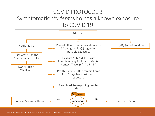#### <span id="page-4-0"></span>COVID PROTOCOL 3 Symptomatic *student* who has a known exposure to COVID 19

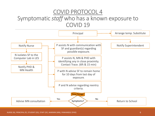#### <span id="page-5-0"></span>COVID PROTOCOL 4 Symptomatic *staff* who has a known exposure to COVID 19

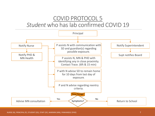#### COVID PROTOCOL 5 *Student* who has lab confirmed COVID 19

<span id="page-6-0"></span>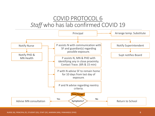#### COVID PROTOCOL 6 *Staff* who has lab confirmed COVID 19

<span id="page-7-0"></span>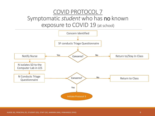## <span id="page-8-0"></span>COVID PROTOCOL 7 Symptomatic *student* who has no known exposure to COVID 19 (at school)

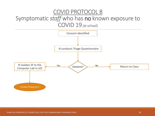### <span id="page-9-0"></span>COVID PROTOCOL 8 Symptomatic *staff* who has no known exposure to COVID 19 (at school)

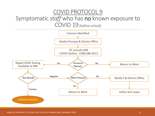### <span id="page-10-0"></span>COVID PROTOCOL 9 Symptomatic *staff* who has no known exposure to COVID 19 (before school)